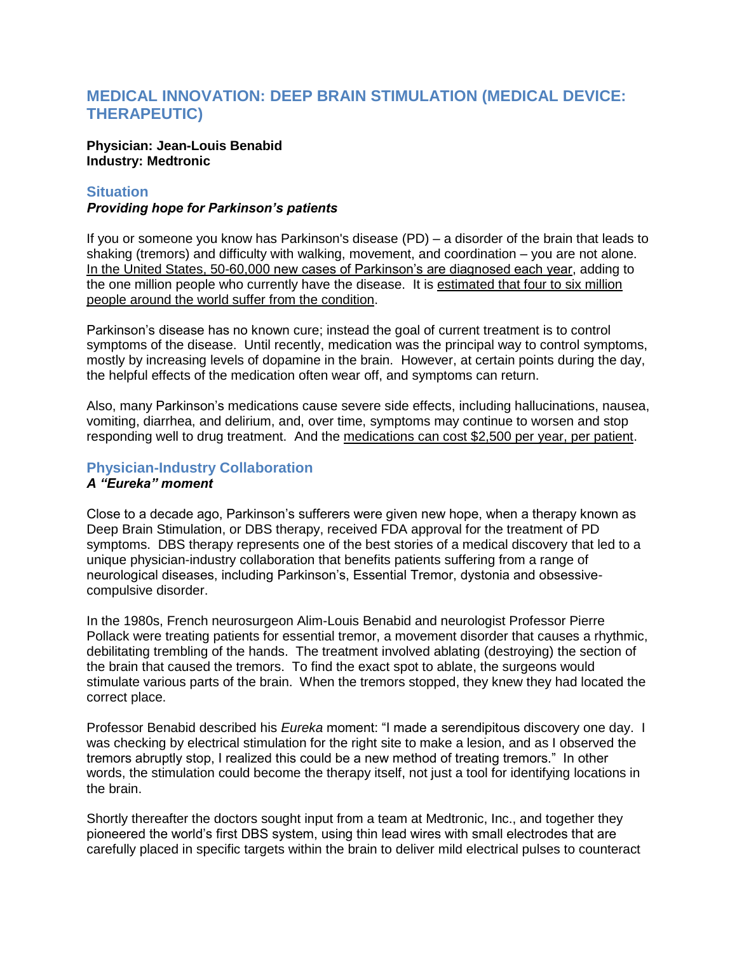# **MEDICAL INNOVATION: DEEP BRAIN STIMULATION (MEDICAL DEVICE: THERAPEUTIC)**

### **Physician: Jean-Louis Benabid Industry: Medtronic**

### **Situation**

### *Providing hope for Parkinson's patients*

If you or someone you know has Parkinson's disease (PD) – a disorder of the brain that leads to shaking (tremors) and difficulty with walking, movement, and coordination – you are not alone. In the United States, 50-60,000 new cases of Parkinson's are diagnosed each year, adding to the one million people who currently have the disease. It is estimated that four to six million people around the world suffer from the condition.

Parkinson's disease has no known cure; instead the goal of current treatment is to control symptoms of the disease. Until recently, medication was the principal way to control symptoms, mostly by increasing levels of dopamine in the brain. However, at certain points during the day, the helpful effects of the medication often wear off, and symptoms can return.

Also, many Parkinson's medications cause severe side effects, including hallucinations, nausea, vomiting, diarrhea, and delirium, and, over time, symptoms may continue to worsen and stop responding well to drug treatment. And the medications can cost \$2,500 per year, per patient.

# **Physician-Industry Collaboration**

# *A "Eureka" moment*

Close to a decade ago, Parkinson's sufferers were given new hope, when a therapy known as Deep Brain Stimulation, or DBS therapy, received FDA approval for the treatment of PD symptoms. DBS therapy represents one of the best stories of a medical discovery that led to a unique physician-industry collaboration that benefits patients suffering from a range of neurological diseases, including Parkinson's, Essential Tremor, dystonia and obsessivecompulsive disorder.

In the 1980s, French neurosurgeon Alim-Louis Benabid and neurologist Professor Pierre Pollack were treating patients for essential tremor, a movement disorder that causes a rhythmic, debilitating trembling of the hands. The treatment involved ablating (destroying) the section of the brain that caused the tremors. To find the exact spot to ablate, the surgeons would stimulate various parts of the brain. When the tremors stopped, they knew they had located the correct place.

Professor Benabid described his *Eureka* moment: "I made a serendipitous discovery one day. I was checking by electrical stimulation for the right site to make a lesion, and as I observed the tremors abruptly stop, I realized this could be a new method of treating tremors." In other words, the stimulation could become the therapy itself, not just a tool for identifying locations in the brain.

Shortly thereafter the doctors sought input from a team at Medtronic, Inc., and together they pioneered the world's first DBS system, using thin lead wires with small electrodes that are carefully placed in specific targets within the brain to deliver mild electrical pulses to counteract